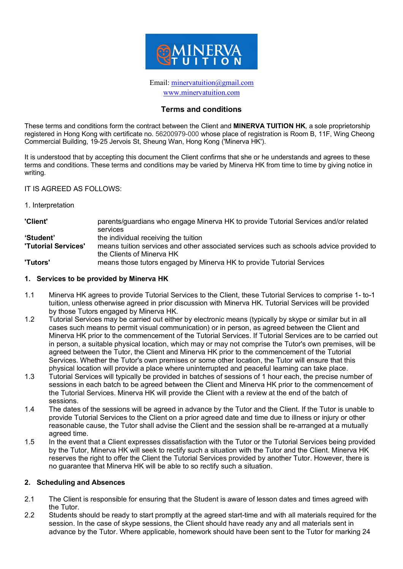

### Email: minervatuition@gmail.com www.minervatuition.com

## **Terms and conditions**

These terms and conditions form the contract between the Client and **MINERVA TUITION HK**, a sole proprietorship registered in Hong Kong with certificate no. 56200979-000 whose place of registration is Room B, 11F, Wing Cheong Commercial Building, 19-25 Jervois St, Sheung Wan, Hong Kong ('Minerva HK').

It is understood that by accepting this document the Client confirms that she or he understands and agrees to these terms and conditions. These terms and conditions may be varied by Minerva HK from time to time by giving notice in writing.

#### IT IS AGREED AS FOLLOWS:

1. Interpretation

| 'Client'                   | parents/guardians who engage Minerva HK to provide Tutorial Services and/or related     |
|----------------------------|-----------------------------------------------------------------------------------------|
|                            | services                                                                                |
| 'Student'                  | the individual receiving the tuition                                                    |
| <b>'Tutorial Services'</b> | means tuition services and other associated services such as schools advice provided to |
|                            | the Clients of Minerva HK                                                               |
| 'Tutors'                   | means those tutors engaged by Minerva HK to provide Tutorial Services                   |

#### **1. Services to be provided by Minerva HK**

- 1.1 Minerva HK agrees to provide Tutorial Services to the Client, these Tutorial Services to comprise 1- to-1 tuition, unless otherwise agreed in prior discussion with Minerva HK. Tutorial Services will be provided by those Tutors engaged by Minerva HK.
- 1.2 Tutorial Services may be carried out either by electronic means (typically by skype or similar but in all cases such means to permit visual communication) or in person, as agreed between the Client and Minerva HK prior to the commencement of the Tutorial Services. If Tutorial Services are to be carried out in person, a suitable physical location, which may or may not comprise the Tutor's own premises, will be agreed between the Tutor, the Client and Minerva HK prior to the commencement of the Tutorial Services. Whether the Tutor's own premises or some other location, the Tutor will ensure that this physical location will provide a place where uninterrupted and peaceful learning can take place.
- 1.3 Tutorial Services will typically be provided in batches of sessions of 1 hour each, the precise number of sessions in each batch to be agreed between the Client and Minerva HK prior to the commencement of the Tutorial Services. Minerva HK will provide the Client with a review at the end of the batch of sessions.
- 1.4 The dates of the sessions will be agreed in advance by the Tutor and the Client. If the Tutor is unable to provide Tutorial Services to the Client on a prior agreed date and time due to illness or injury or other reasonable cause, the Tutor shall advise the Client and the session shall be re-arranged at a mutually agreed time.
- 1.5 In the event that a Client expresses dissatisfaction with the Tutor or the Tutorial Services being provided by the Tutor, Minerva HK will seek to rectify such a situation with the Tutor and the Client. Minerva HK reserves the right to offer the Client the Tutorial Services provided by another Tutor. However, there is no guarantee that Minerva HK will be able to so rectify such a situation.

#### **2. Scheduling and Absences**

- 2.1 The Client is responsible for ensuring that the Student is aware of lesson dates and times agreed with the Tutor.
- 2.2 Students should be ready to start promptly at the agreed start-time and with all materials required for the session. In the case of skype sessions, the Client should have ready any and all materials sent in advance by the Tutor. Where applicable, homework should have been sent to the Tutor for marking 24